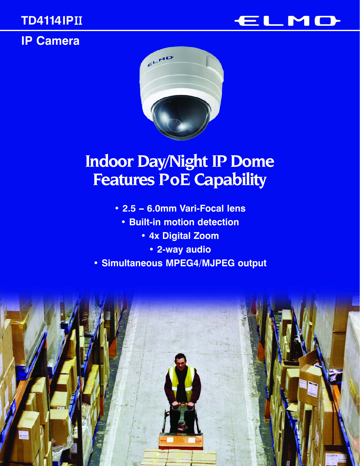## **TD4114IP**II

**IP Camera**





# **Indoor Day/Night IP Dome Features PoE Capability**

- **2.5 6.0mm Vari-Focal lens** 
	- **Built-in motion detection**
		- **4x Digital Zoom**
			- **2-way audio**
- **Simultaneous MPEG4/MJPEG output**